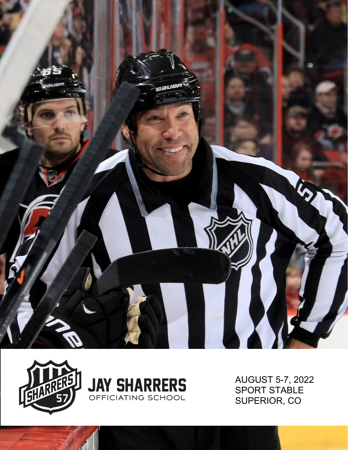





AUGUST 5-7, 2022 SPORT STABLE SUPERIOR, CO